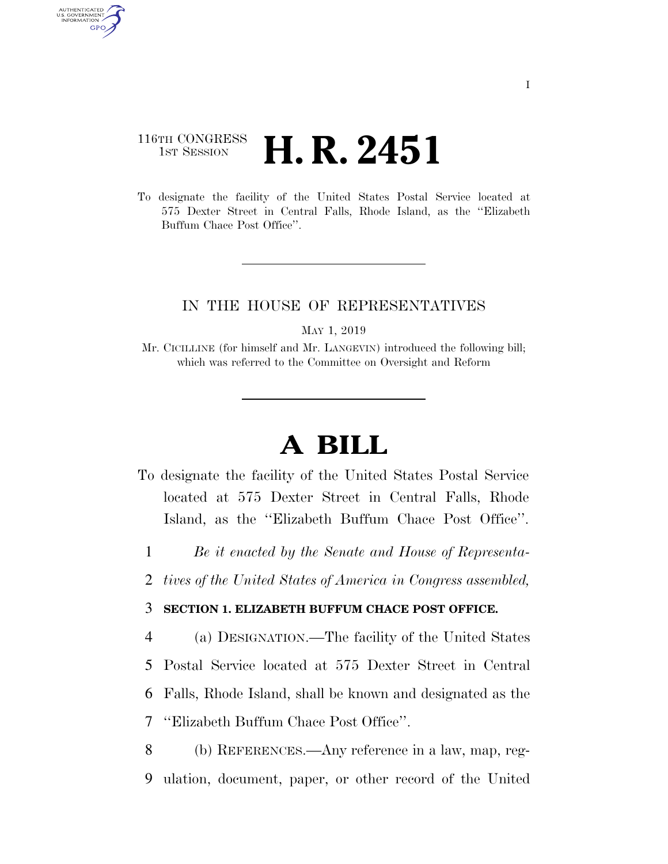## 116TH CONGRESS <sup>TH CONGRESS</sup> **H. R. 2451**

AUTHENTICATED U.S. GOVERNMENT GPO

> To designate the facility of the United States Postal Service located at 575 Dexter Street in Central Falls, Rhode Island, as the ''Elizabeth Buffum Chace Post Office''.

## IN THE HOUSE OF REPRESENTATIVES

MAY 1, 2019

Mr. CICILLINE (for himself and Mr. LANGEVIN) introduced the following bill; which was referred to the Committee on Oversight and Reform

## **A BILL**

- To designate the facility of the United States Postal Service located at 575 Dexter Street in Central Falls, Rhode Island, as the ''Elizabeth Buffum Chace Post Office''.
	- 1 *Be it enacted by the Senate and House of Representa-*
- 2 *tives of the United States of America in Congress assembled,*

## 3 **SECTION 1. ELIZABETH BUFFUM CHACE POST OFFICE.**

 (a) DESIGNATION.—The facility of the United States Postal Service located at 575 Dexter Street in Central Falls, Rhode Island, shall be known and designated as the ''Elizabeth Buffum Chace Post Office''.

8 (b) REFERENCES.—Any reference in a law, map, reg-9 ulation, document, paper, or other record of the United